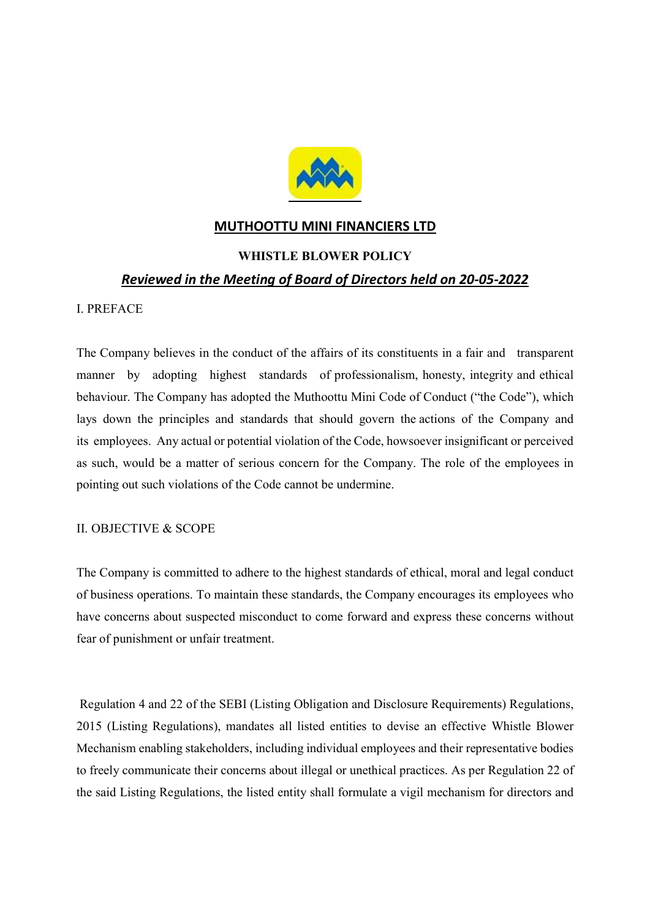

## MUTHOOTTU MINI FINANCIERS LTD

## WHISTLE BLOWER POLICY

## Reviewed in the Meeting of Board of Directors held on 20-05-2022

#### I. PREFACE

The Company believes in the conduct of the affairs of its constituents in a fair and transparent manner by adopting highest standards of professionalism, honesty, integrity and ethical behaviour. The Company has adopted the Muthoottu Mini Code of Conduct ("the Code"), which lays down the principles and standards that should govern the actions of the Company and its employees. Any actual or potential violation of the Code, howsoever insignificant or perceived as such, would be a matter of serious concern for the Company. The role of the employees in pointing out such violations of the Code cannot be undermine.

## II. OBJECTIVE & SCOPE

The Company is committed to adhere to the highest standards of ethical, moral and legal conduct of business operations. To maintain these standards, the Company encourages its employees who have concerns about suspected misconduct to come forward and express these concerns without fear of punishment or unfair treatment.

 Regulation 4 and 22 of the SEBI (Listing Obligation and Disclosure Requirements) Regulations, 2015 (Listing Regulations), mandates all listed entities to devise an effective Whistle Blower Mechanism enabling stakeholders, including individual employees and their representative bodies to freely communicate their concerns about illegal or unethical practices. As per Regulation 22 of the said Listing Regulations, the listed entity shall formulate a vigil mechanism for directors and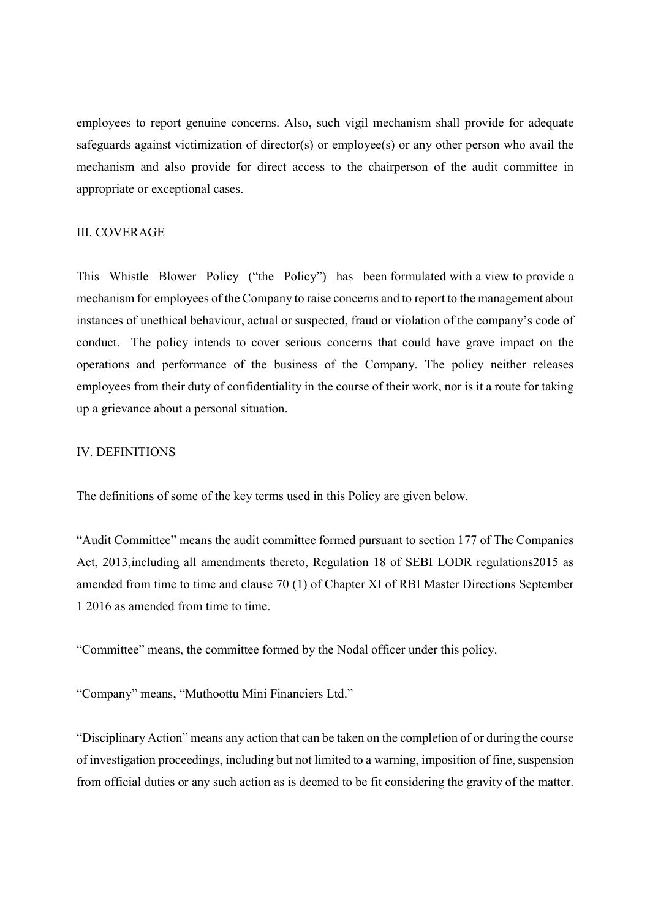employees to report genuine concerns. Also, such vigil mechanism shall provide for adequate safeguards against victimization of director(s) or employee(s) or any other person who avail the mechanism and also provide for direct access to the chairperson of the audit committee in appropriate or exceptional cases.

#### III. COVERAGE

This Whistle Blower Policy ("the Policy") has been formulated with a view to provide a mechanism for employees of the Company to raise concerns and to report to the management about instances of unethical behaviour, actual or suspected, fraud or violation of the company's code of conduct. The policy intends to cover serious concerns that could have grave impact on the operations and performance of the business of the Company. The policy neither releases employees from their duty of confidentiality in the course of their work, nor is it a route for taking up a grievance about a personal situation.

## IV. DEFINITIONS

The definitions of some of the key terms used in this Policy are given below.

"Audit Committee" means the audit committee formed pursuant to section 177 of The Companies Act, 2013,including all amendments thereto, Regulation 18 of SEBI LODR regulations2015 as amended from time to time and clause 70 (1) of Chapter XI of RBI Master Directions September 1 2016 as amended from time to time.

"Committee" means, the committee formed by the Nodal officer under this policy.

"Company" means, "Muthoottu Mini Financiers Ltd."

"Disciplinary Action" means any action that can be taken on the completion of or during the course of investigation proceedings, including but not limited to a warning, imposition of fine, suspension from official duties or any such action as is deemed to be fit considering the gravity of the matter.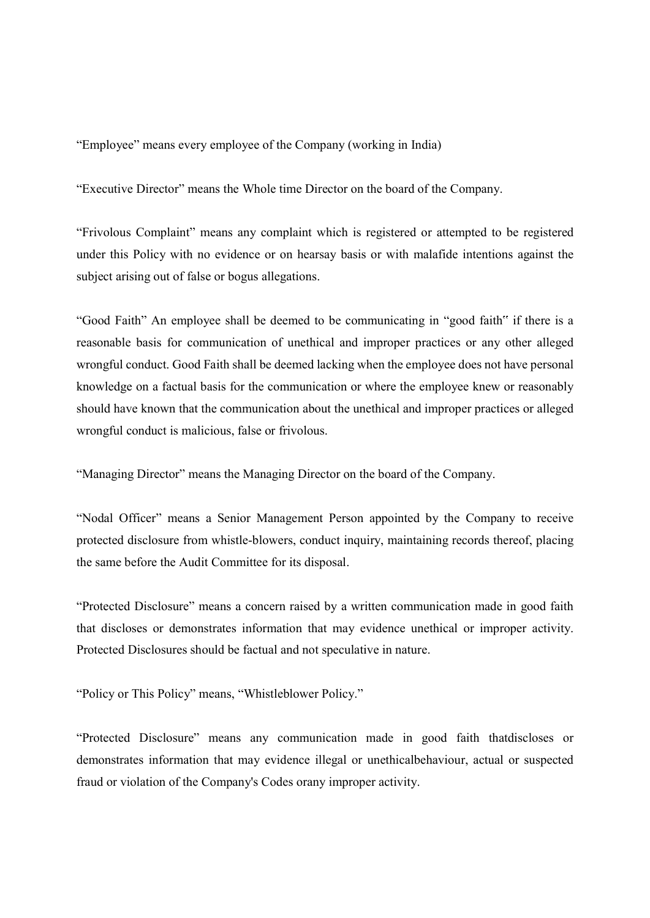"Employee" means every employee of the Company (working in India)

"Executive Director" means the Whole time Director on the board of the Company.

"Frivolous Complaint" means any complaint which is registered or attempted to be registered under this Policy with no evidence or on hearsay basis or with malafide intentions against the subject arising out of false or bogus allegations.

"Good Faith" An employee shall be deemed to be communicating in "good faith" if there is a reasonable basis for communication of unethical and improper practices or any other alleged wrongful conduct. Good Faith shall be deemed lacking when the employee does not have personal knowledge on a factual basis for the communication or where the employee knew or reasonably should have known that the communication about the unethical and improper practices or alleged wrongful conduct is malicious, false or frivolous.

"Managing Director" means the Managing Director on the board of the Company.

"Nodal Officer" means a Senior Management Person appointed by the Company to receive protected disclosure from whistle-blowers, conduct inquiry, maintaining records thereof, placing the same before the Audit Committee for its disposal.

"Protected Disclosure" means a concern raised by a written communication made in good faith that discloses or demonstrates information that may evidence unethical or improper activity. Protected Disclosures should be factual and not speculative in nature.

"Policy or This Policy" means, "Whistleblower Policy."

"Protected Disclosure" means any communication made in good faith thatdiscloses or demonstrates information that may evidence illegal or unethicalbehaviour, actual or suspected fraud or violation of the Company's Codes orany improper activity.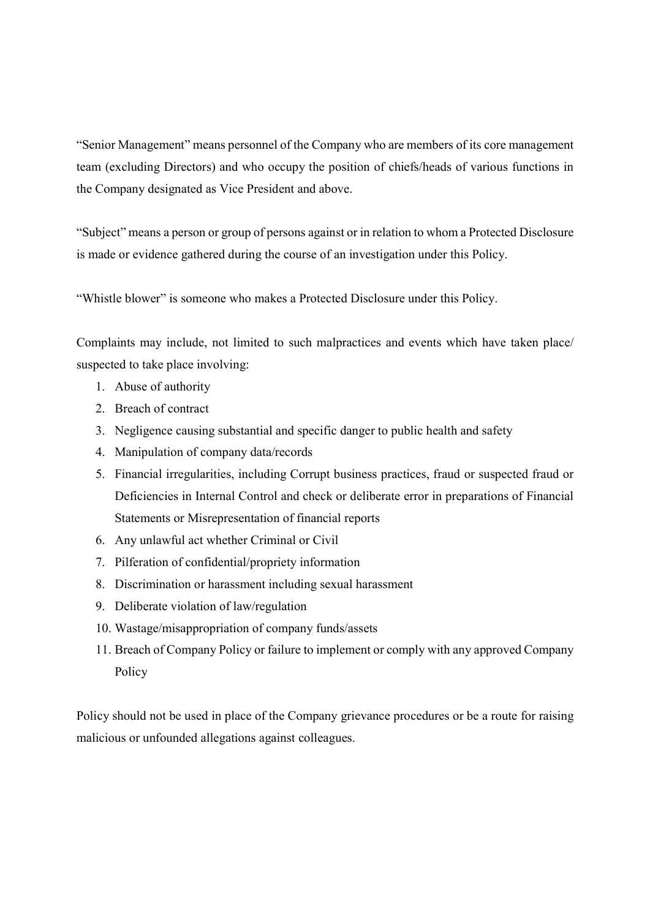"Senior Management" means personnel of the Company who are members of its core management team (excluding Directors) and who occupy the position of chiefs/heads of various functions in the Company designated as Vice President and above.

"Subject" means a person or group of persons against or in relation to whom a Protected Disclosure is made or evidence gathered during the course of an investigation under this Policy.

"Whistle blower" is someone who makes a Protected Disclosure under this Policy.

Complaints may include, not limited to such malpractices and events which have taken place/ suspected to take place involving:

- 1. Abuse of authority
- 2. Breach of contract
- 3. Negligence causing substantial and specific danger to public health and safety
- 4. Manipulation of company data/records
- 5. Financial irregularities, including Corrupt business practices, fraud or suspected fraud or Deficiencies in Internal Control and check or deliberate error in preparations of Financial Statements or Misrepresentation of financial reports
- 6. Any unlawful act whether Criminal or Civil
- 7. Pilferation of confidential/propriety information
- 8. Discrimination or harassment including sexual harassment
- 9. Deliberate violation of law/regulation
- 10. Wastage/misappropriation of company funds/assets
- 11. Breach of Company Policy or failure to implement or comply with any approved Company Policy

Policy should not be used in place of the Company grievance procedures or be a route for raising malicious or unfounded allegations against colleagues.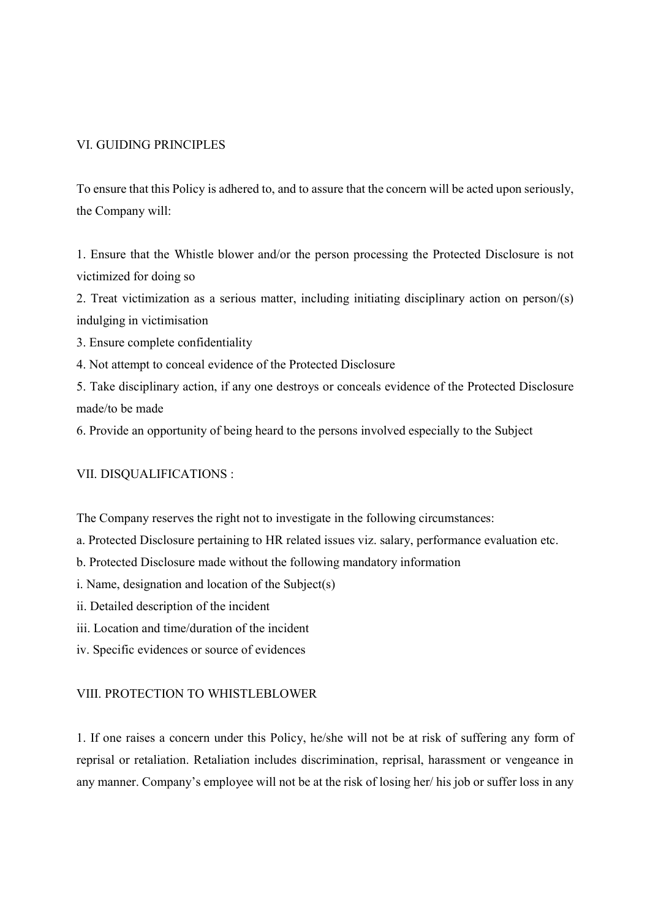## VI. GUIDING PRINCIPLES

To ensure that this Policy is adhered to, and to assure that the concern will be acted upon seriously, the Company will:

1. Ensure that the Whistle blower and/or the person processing the Protected Disclosure is not victimized for doing so

2. Treat victimization as a serious matter, including initiating disciplinary action on person/(s) indulging in victimisation

3. Ensure complete confidentiality

4. Not attempt to conceal evidence of the Protected Disclosure

5. Take disciplinary action, if any one destroys or conceals evidence of the Protected Disclosure made/to be made

6. Provide an opportunity of being heard to the persons involved especially to the Subject

## VII. DISQUALIFICATIONS :

The Company reserves the right not to investigate in the following circumstances:

a. Protected Disclosure pertaining to HR related issues viz. salary, performance evaluation etc.

b. Protected Disclosure made without the following mandatory information

i. Name, designation and location of the Subject(s)

ii. Detailed description of the incident

iii. Location and time/duration of the incident

iv. Specific evidences or source of evidences

## VIII. PROTECTION TO WHISTLEBLOWER

1. If one raises a concern under this Policy, he/she will not be at risk of suffering any form of reprisal or retaliation. Retaliation includes discrimination, reprisal, harassment or vengeance in any manner. Company's employee will not be at the risk of losing her/ his job or suffer loss in any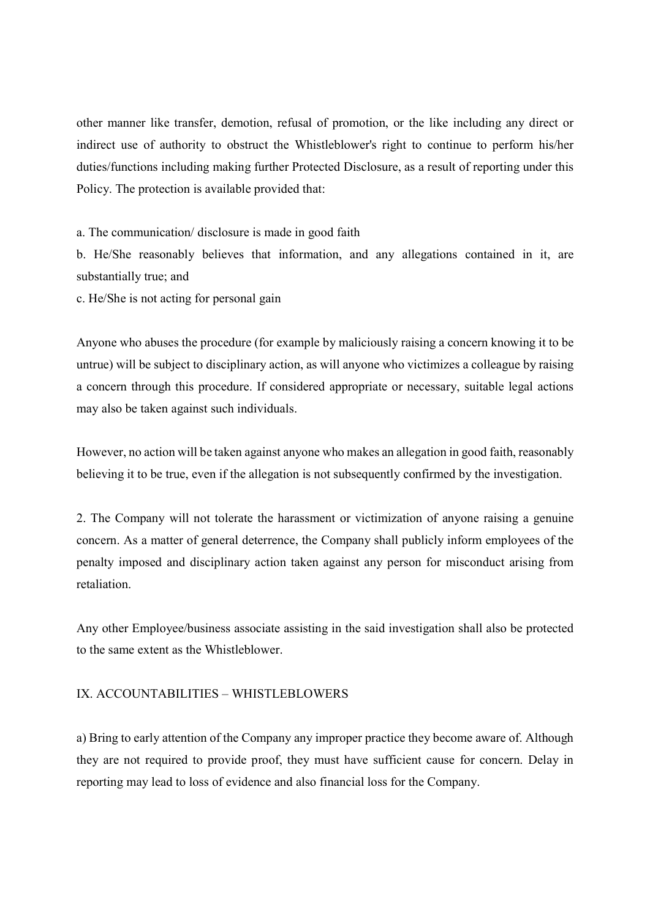other manner like transfer, demotion, refusal of promotion, or the like including any direct or indirect use of authority to obstruct the Whistleblower's right to continue to perform his/her duties/functions including making further Protected Disclosure, as a result of reporting under this Policy. The protection is available provided that:

a. The communication/ disclosure is made in good faith

b. He/She reasonably believes that information, and any allegations contained in it, are substantially true; and

c. He/She is not acting for personal gain

Anyone who abuses the procedure (for example by maliciously raising a concern knowing it to be untrue) will be subject to disciplinary action, as will anyone who victimizes a colleague by raising a concern through this procedure. If considered appropriate or necessary, suitable legal actions may also be taken against such individuals.

However, no action will be taken against anyone who makes an allegation in good faith, reasonably believing it to be true, even if the allegation is not subsequently confirmed by the investigation.

2. The Company will not tolerate the harassment or victimization of anyone raising a genuine concern. As a matter of general deterrence, the Company shall publicly inform employees of the penalty imposed and disciplinary action taken against any person for misconduct arising from retaliation.

Any other Employee/business associate assisting in the said investigation shall also be protected to the same extent as the Whistleblower.

#### IX. ACCOUNTABILITIES – WHISTLEBLOWERS

a) Bring to early attention of the Company any improper practice they become aware of. Although they are not required to provide proof, they must have sufficient cause for concern. Delay in reporting may lead to loss of evidence and also financial loss for the Company.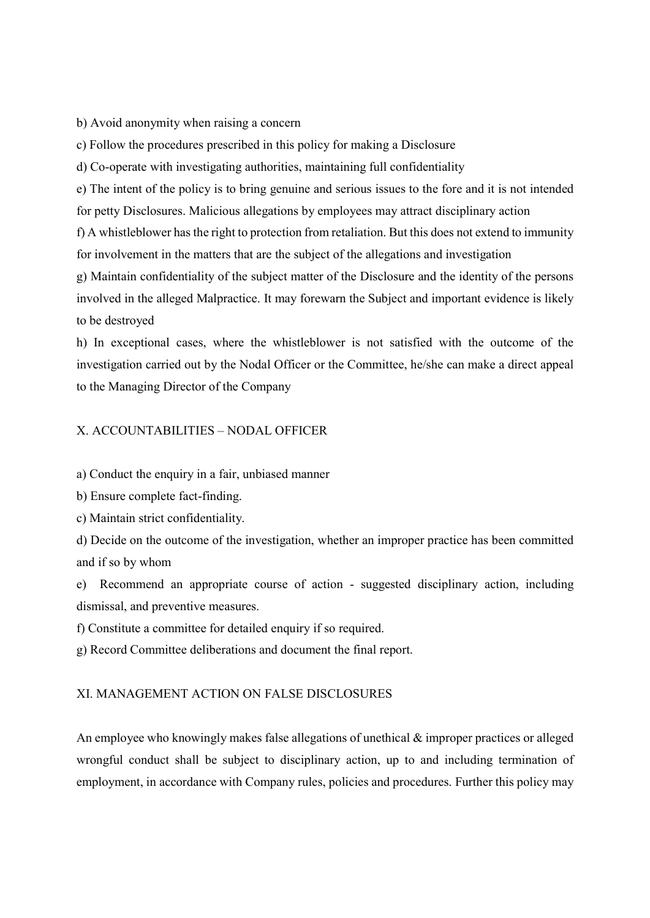b) Avoid anonymity when raising a concern

c) Follow the procedures prescribed in this policy for making a Disclosure

d) Co-operate with investigating authorities, maintaining full confidentiality

e) The intent of the policy is to bring genuine and serious issues to the fore and it is not intended for petty Disclosures. Malicious allegations by employees may attract disciplinary action

f) A whistleblower has the right to protection from retaliation. But this does not extend to immunity for involvement in the matters that are the subject of the allegations and investigation

g) Maintain confidentiality of the subject matter of the Disclosure and the identity of the persons involved in the alleged Malpractice. It may forewarn the Subject and important evidence is likely to be destroyed

h) In exceptional cases, where the whistleblower is not satisfied with the outcome of the investigation carried out by the Nodal Officer or the Committee, he/she can make a direct appeal to the Managing Director of the Company

#### X. ACCOUNTABILITIES – NODAL OFFICER

a) Conduct the enquiry in a fair, unbiased manner

b) Ensure complete fact-finding.

c) Maintain strict confidentiality.

d) Decide on the outcome of the investigation, whether an improper practice has been committed and if so by whom

e) Recommend an appropriate course of action - suggested disciplinary action, including dismissal, and preventive measures.

f) Constitute a committee for detailed enquiry if so required.

g) Record Committee deliberations and document the final report.

#### XI. MANAGEMENT ACTION ON FALSE DISCLOSURES

An employee who knowingly makes false allegations of unethical & improper practices or alleged wrongful conduct shall be subject to disciplinary action, up to and including termination of employment, in accordance with Company rules, policies and procedures. Further this policy may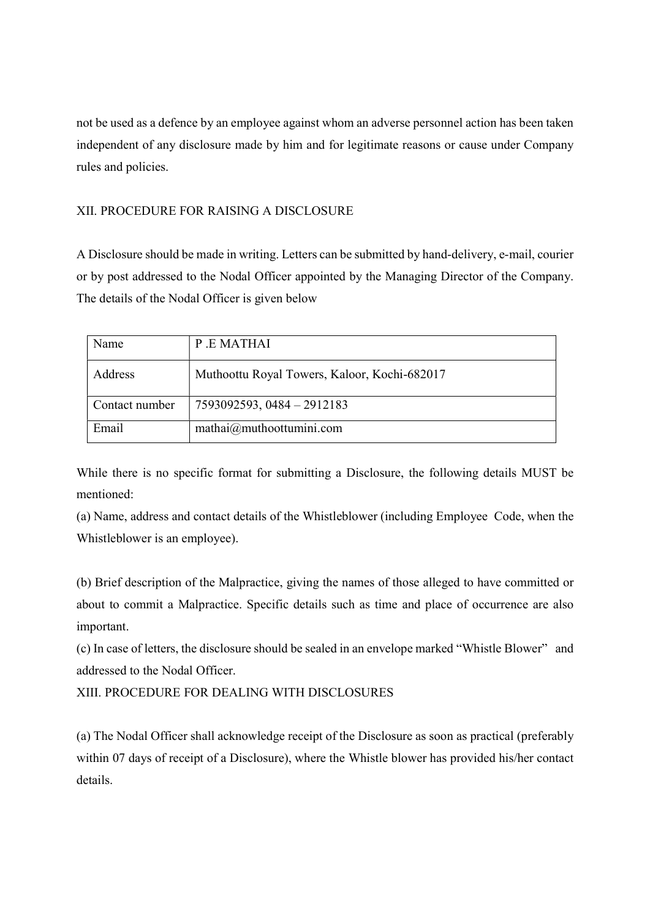not be used as a defence by an employee against whom an adverse personnel action has been taken independent of any disclosure made by him and for legitimate reasons or cause under Company rules and policies.

# XII. PROCEDURE FOR RAISING A DISCLOSURE

A Disclosure should be made in writing. Letters can be submitted by hand-delivery, e-mail, courier or by post addressed to the Nodal Officer appointed by the Managing Director of the Company. The details of the Nodal Officer is given below

| Name           | P.E.MATHAI                                            |
|----------------|-------------------------------------------------------|
| Address        | Muthoottu Royal Towers, Kaloor, Kochi-682017          |
| Contact number | 7593092593, 0484 - 2912183                            |
| Email          | $matha\bar{a}$ ) mathai $\bar{a}$ ) muthoottumini.com |

While there is no specific format for submitting a Disclosure, the following details MUST be mentioned:

(a) Name, address and contact details of the Whistleblower (including Employee Code, when the Whistleblower is an employee).

(b) Brief description of the Malpractice, giving the names of those alleged to have committed or about to commit a Malpractice. Specific details such as time and place of occurrence are also important.

(c) In case of letters, the disclosure should be sealed in an envelope marked "Whistle Blower" and addressed to the Nodal Officer.

XIII. PROCEDURE FOR DEALING WITH DISCLOSURES

(a) The Nodal Officer shall acknowledge receipt of the Disclosure as soon as practical (preferably within 07 days of receipt of a Disclosure), where the Whistle blower has provided his/her contact details.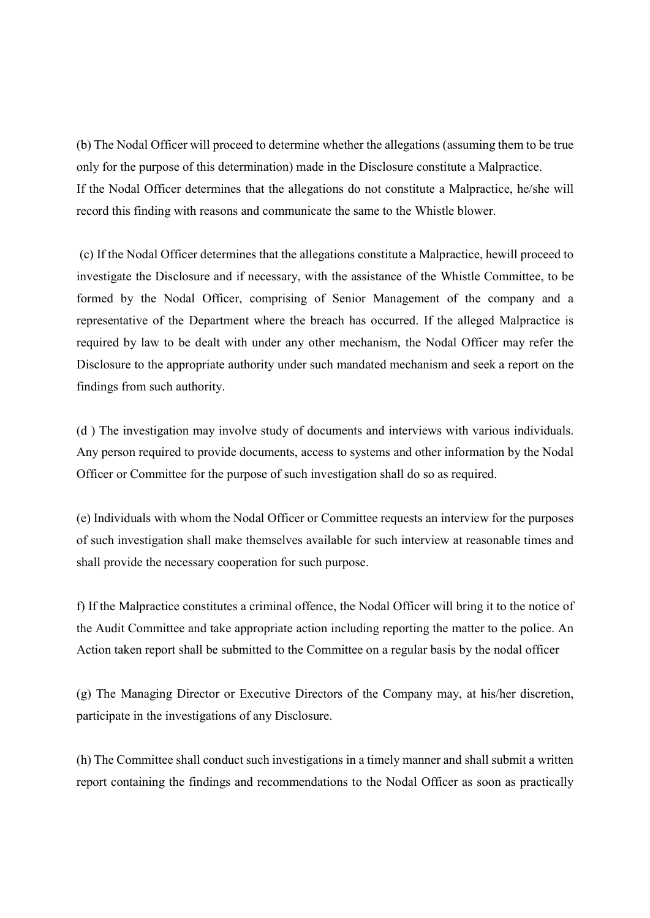(b) The Nodal Officer will proceed to determine whether the allegations (assuming them to be true only for the purpose of this determination) made in the Disclosure constitute a Malpractice. If the Nodal Officer determines that the allegations do not constitute a Malpractice, he/she will record this finding with reasons and communicate the same to the Whistle blower.

 (c) If the Nodal Officer determines that the allegations constitute a Malpractice, hewill proceed to investigate the Disclosure and if necessary, with the assistance of the Whistle Committee, to be formed by the Nodal Officer, comprising of Senior Management of the company and a representative of the Department where the breach has occurred. If the alleged Malpractice is required by law to be dealt with under any other mechanism, the Nodal Officer may refer the Disclosure to the appropriate authority under such mandated mechanism and seek a report on the findings from such authority.

(d ) The investigation may involve study of documents and interviews with various individuals. Any person required to provide documents, access to systems and other information by the Nodal Officer or Committee for the purpose of such investigation shall do so as required.

(e) Individuals with whom the Nodal Officer or Committee requests an interview for the purposes of such investigation shall make themselves available for such interview at reasonable times and shall provide the necessary cooperation for such purpose.

f) If the Malpractice constitutes a criminal offence, the Nodal Officer will bring it to the notice of the Audit Committee and take appropriate action including reporting the matter to the police. An Action taken report shall be submitted to the Committee on a regular basis by the nodal officer

(g) The Managing Director or Executive Directors of the Company may, at his/her discretion, participate in the investigations of any Disclosure.

(h) The Committee shall conduct such investigations in a timely manner and shall submit a written report containing the findings and recommendations to the Nodal Officer as soon as practically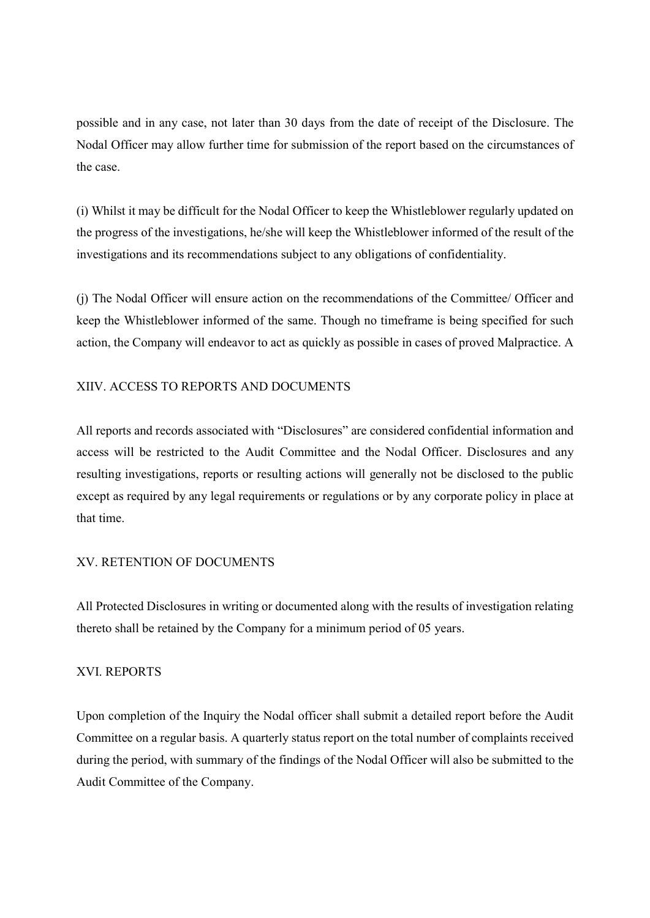possible and in any case, not later than 30 days from the date of receipt of the Disclosure. The Nodal Officer may allow further time for submission of the report based on the circumstances of the case.

(i) Whilst it may be difficult for the Nodal Officer to keep the Whistleblower regularly updated on the progress of the investigations, he/she will keep the Whistleblower informed of the result of the investigations and its recommendations subject to any obligations of confidentiality.

(j) The Nodal Officer will ensure action on the recommendations of the Committee/ Officer and keep the Whistleblower informed of the same. Though no timeframe is being specified for such action, the Company will endeavor to act as quickly as possible in cases of proved Malpractice. A

## XIIV. ACCESS TO REPORTS AND DOCUMENTS

All reports and records associated with "Disclosures" are considered confidential information and access will be restricted to the Audit Committee and the Nodal Officer. Disclosures and any resulting investigations, reports or resulting actions will generally not be disclosed to the public except as required by any legal requirements or regulations or by any corporate policy in place at that time.

# XV. RETENTION OF DOCUMENTS

All Protected Disclosures in writing or documented along with the results of investigation relating thereto shall be retained by the Company for a minimum period of 05 years.

## XVI. REPORTS

Upon completion of the Inquiry the Nodal officer shall submit a detailed report before the Audit Committee on a regular basis. A quarterly status report on the total number of complaints received during the period, with summary of the findings of the Nodal Officer will also be submitted to the Audit Committee of the Company.